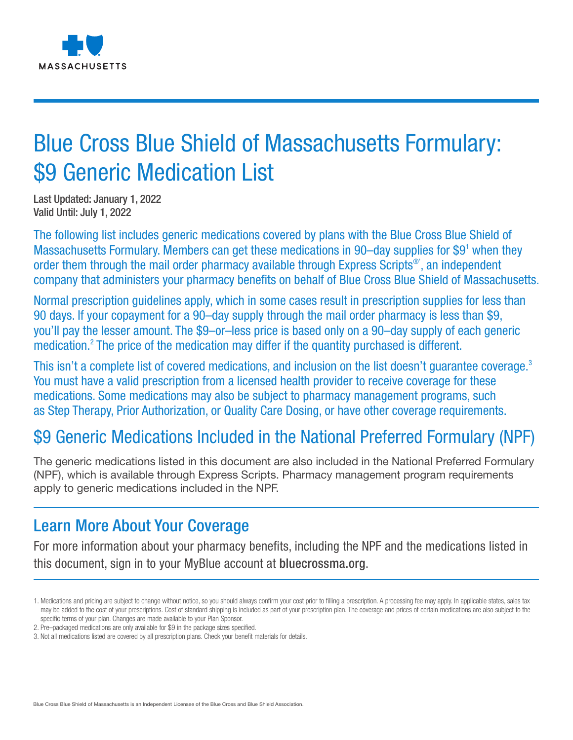

# Blue Cross Blue Shield of Massachusetts Formulary: \$9 Generic Medication List

Last Updated: January 1, 2022 Valid Until: July 1, 2022

The following list includes generic medications covered by plans with the Blue Cross Blue Shield of Massachusetts Formulary. Members can get these medications in 90–day supplies for \$9<sup>1</sup> when they order them through the mail order pharmacy available through Express Scripts<sup>®</sup>', an independent company that administers your pharmacy benefits on behalf of Blue Cross Blue Shield of Massachusetts.

Normal prescription guidelines apply, which in some cases result in prescription supplies for less than 90 days. If your copayment for a 90–day supply through the mail order pharmacy is less than \$9, you'll pay the lesser amount. The \$9–or–less price is based only on a 90–day supply of each generic medication.<sup>2</sup> The price of the medication may differ if the quantity purchased is different.

This isn't a complete list of covered medications, and inclusion on the list doesn't quarantee coverage.<sup>3</sup> You must have a valid prescription from a licensed health provider to receive coverage for these medications. Some medications may also be subject to pharmacy management programs, such as Step Therapy, Prior Authorization, or Quality Care Dosing, or have other coverage requirements.

## \$9 Generic Medications Included in the National Preferred Formulary (NPF)

The generic medications listed in this document are also included in the National Preferred Formulary (NPF), which is available through Express Scripts. Pharmacy management program requirements apply to generic medications included in the NPF.

### Learn More About Your Coverage

For more information about your pharmacy benefits, including the NPF and the medications listed in this document, sign in to your MyBlue account at bluecrossma.org.

<sup>1.</sup> Medications and pricing are subject to change without notice, so you should always confirm your cost prior to filling a prescription. A processing fee may apply. In applicable states, sales tax may be added to the cost of your prescriptions. Cost of standard shipping is included as part of your prescription plan. The coverage and prices of certain medications are also subject to the specific terms of your plan. Changes are made available to your Plan Sponsor.

<sup>2.</sup> Pre–packaged medications are only available for \$9 in the package sizes specified.

<sup>3.</sup> Not all medications listed are covered by all prescription plans. Check your benefit materials for details.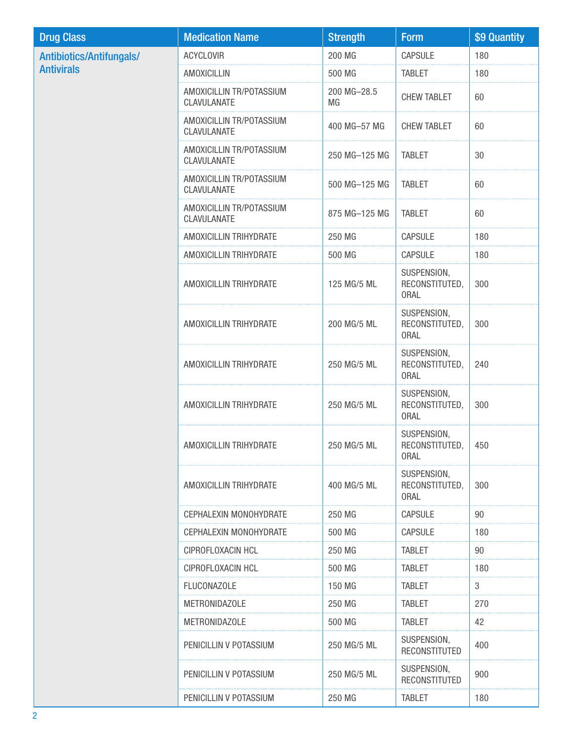| <b>Drug Class</b>               | <b>Medication Name</b>                  | <b>Strength</b>   | <b>Form</b>                                  | \$9 Quantity |
|---------------------------------|-----------------------------------------|-------------------|----------------------------------------------|--------------|
| <b>Antibiotics/Antifungals/</b> | <b>ACYCLOVIR</b>                        | 200 MG            | CAPSULE                                      | 180          |
| <b>Antivirals</b>               | <b>AMOXICILLIN</b>                      | 500 MG            | <b>TABLET</b>                                | 180          |
|                                 | AMOXICILLIN TR/POTASSIUM<br>CLAVULANATE | 200 MG-28.5<br>MG | <b>CHEW TABLET</b>                           | 60           |
|                                 | AMOXICILLIN TR/POTASSIUM<br>CLAVULANATE | 400 MG-57 MG      | CHEW TABLET                                  | 60           |
|                                 | AMOXICILLIN TR/POTASSIUM<br>CLAVULANATE | 250 MG-125 MG     | <b>TABLET</b>                                | 30           |
|                                 | AMOXICILLIN TR/POTASSIUM<br>CLAVULANATE | 500 MG-125 MG     | <b>TABLET</b>                                | 60           |
|                                 | AMOXICILLIN TR/POTASSIUM<br>CLAVULANATE | 875 MG-125 MG     | <b>TABLET</b>                                | 60           |
|                                 | AMOXICILLIN TRIHYDRATE                  | 250 MG            | <b>CAPSULE</b>                               | 180          |
|                                 | AMOXICILLIN TRIHYDRATE                  | 500 MG            | <b>CAPSULE</b>                               | 180          |
|                                 | AMOXICILLIN TRIHYDRATE                  | 125 MG/5 ML       | SUSPENSION,<br>RECONSTITUTED,<br><b>ORAL</b> | 300          |
|                                 | AMOXICILLIN TRIHYDRATE                  | 200 MG/5 ML       | SUSPENSION,<br>RECONSTITUTED,<br><b>ORAL</b> | 300          |
|                                 | AMOXICILLIN TRIHYDRATE                  | 250 MG/5 ML       | SUSPENSION,<br>RECONSTITUTED,<br><b>ORAL</b> | 240          |
|                                 | AMOXICILLIN TRIHYDRATE                  | 250 MG/5 ML       | SUSPENSION,<br>RECONSTITUTED,<br><b>ORAL</b> | 300          |
|                                 | AMOXICILLIN TRIHYDRATE                  | 250 MG/5 ML       | SUSPENSION,<br>RECONSTITUTED,<br><b>ORAL</b> | 450          |
|                                 | AMOXICILLIN TRIHYDRATE                  | 400 MG/5 ML       | SUSPENSION,<br>RECONSTITUTED,<br><b>ORAL</b> | 300          |
|                                 | CEPHALEXIN MONOHYDRATE                  | 250 MG            | <b>CAPSULE</b>                               | 90           |
|                                 | CEPHALEXIN MONOHYDRATE                  | 500 MG            | <b>CAPSULE</b>                               | 180          |
|                                 | CIPROFLOXACIN HCL                       | 250 MG            | <b>TABLET</b>                                | 90           |
|                                 | CIPROFLOXACIN HCL                       | 500 MG            | <b>TABLET</b>                                | 180          |
|                                 | <b>FLUCONAZOLE</b>                      | 150 MG            | <b>TABLET</b>                                | 3            |
|                                 | <b>METRONIDAZOLE</b>                    | 250 MG            | <b>TABLET</b>                                | 270          |
|                                 | <b>METRONIDAZOLE</b>                    | 500 MG            | <b>TABLET</b>                                | 42           |
|                                 | PENICILLIN V POTASSIUM                  | 250 MG/5 ML       | SUSPENSION,<br><b>RECONSTITUTED</b>          | 400          |
|                                 | PENICILLIN V POTASSIUM                  | 250 MG/5 ML       | SUSPENSION,<br><b>RECONSTITUTED</b>          | 900          |
|                                 | PENICILLIN V POTASSIUM                  | 250 MG            | <b>TABLET</b>                                | 180          |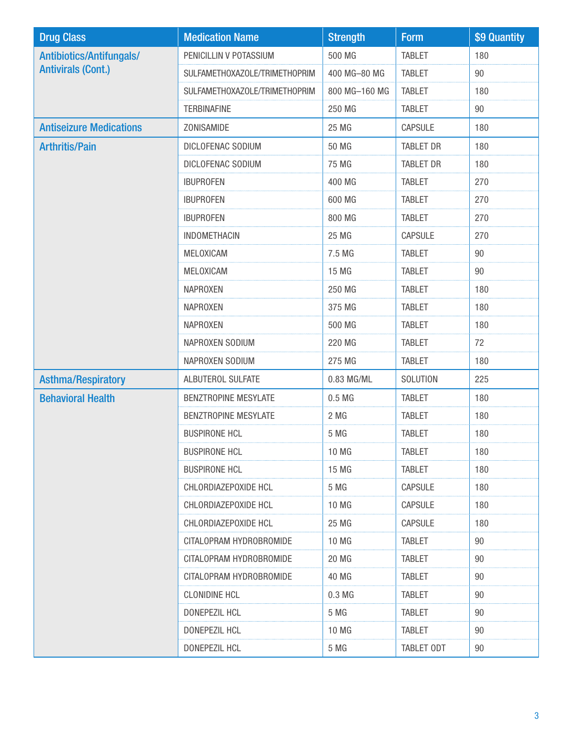| <b>Drug Class</b>               | <b>Medication Name</b>        | <b>Strength</b>  | <b>Form</b>      | \$9 Quantity |
|---------------------------------|-------------------------------|------------------|------------------|--------------|
| <b>Antibiotics/Antifungals/</b> | PENICILLIN V POTASSIUM        | 500 MG           | <b>TABLET</b>    | 180          |
| <b>Antivirals (Cont.)</b>       | SULFAMETHOXAZOLE/TRIMETHOPRIM | 400 MG-80 MG     | <b>TABLET</b>    | 90           |
|                                 | SULFAMETHOXAZOLE/TRIMETHOPRIM | 800 MG-160 MG    | <b>TABLET</b>    | 180          |
|                                 | <b>TERBINAFINE</b>            | 250 MG           | <b>TABLET</b>    | 90           |
| <b>Antiseizure Medications</b>  | ZONISAMIDE                    | 25 MG            | <b>CAPSULE</b>   | 180          |
| <b>Arthritis/Pain</b>           | DICLOFENAC SODIUM             | 50 MG            | <b>TABLET DR</b> | 180          |
|                                 | DICLOFENAC SODIUM             | 75 MG            | <b>TABLET DR</b> | 180          |
|                                 | <b>IBUPROFEN</b>              | 400 MG           | <b>TABLET</b>    | 270          |
|                                 | <b>IBUPROFEN</b>              | 600 MG           | <b>TABLET</b>    | 270          |
|                                 | <b>IBUPROFEN</b>              | 800 MG           | <b>TABLET</b>    | 270          |
|                                 | <b>INDOMETHACIN</b>           | 25 MG            | <b>CAPSULE</b>   | 270          |
|                                 | MELOXICAM                     | 7.5 MG           | <b>TABLET</b>    | $90\,$       |
|                                 | MELOXICAM                     | 15 MG            | <b>TABLET</b>    | 90           |
|                                 | <b>NAPROXEN</b>               | 250 MG           | <b>TABLET</b>    | 180          |
|                                 | <b>NAPROXEN</b>               | 375 MG           | <b>TABLET</b>    | 180          |
|                                 | <b>NAPROXEN</b>               | 500 MG           | <b>TABLET</b>    | 180          |
|                                 | NAPROXEN SODIUM               | 220 MG           | <b>TABLET</b>    | 72           |
|                                 | NAPROXEN SODIUM               | 275 MG           | <b>TABLET</b>    | 180          |
| <b>Asthma/Respiratory</b>       | ALBUTEROL SULFATE             | 0.83 MG/ML       | SOLUTION         | 225          |
| <b>Behavioral Health</b>        | <b>BENZTROPINE MESYLATE</b>   | 0.5 <sub>M</sub> | <b>TABLET</b>    | 180          |
|                                 | BENZTROPINE MESYLATE          | 2 MG             | <b>TABLET</b>    | 180          |
|                                 | <b>BUSPIRONE HCL</b>          | 5 MG             | <b>TABLET</b>    | 180          |
|                                 | <b>BUSPIRONE HCL</b>          | 10 MG            | <b>TABLET</b>    | 180          |
|                                 | <b>BUSPIRONE HCL</b>          | 15 MG            | <b>TABLET</b>    | 180          |
|                                 | CHLORDIAZEPOXIDE HCL          | 5 MG             | <b>CAPSULE</b>   | 180          |
|                                 | CHLORDIAZEPOXIDE HCL          | 10 MG            | <b>CAPSULE</b>   | 180          |
|                                 | CHLORDIAZEPOXIDE HCL          | 25 MG            | <b>CAPSULE</b>   | 180          |
|                                 | CITALOPRAM HYDROBROMIDE       | 10 MG            | <b>TABLET</b>    | 90           |
|                                 | CITALOPRAM HYDROBROMIDE       | 20 MG            | <b>TABLET</b>    | 90           |
|                                 | CITALOPRAM HYDROBROMIDE       | 40 MG            | <b>TABLET</b>    | 90           |
|                                 | <b>CLONIDINE HCL</b>          | 0.3 <sub>M</sub> | <b>TABLET</b>    | 90           |
|                                 | DONEPEZIL HCL                 | 5 MG             | <b>TABLET</b>    | 90           |
|                                 | DONEPEZIL HCL                 | 10 MG            | <b>TABLET</b>    | 90           |
|                                 | DONEPEZIL HCL                 | 5 MG             | TABLET ODT       | 90           |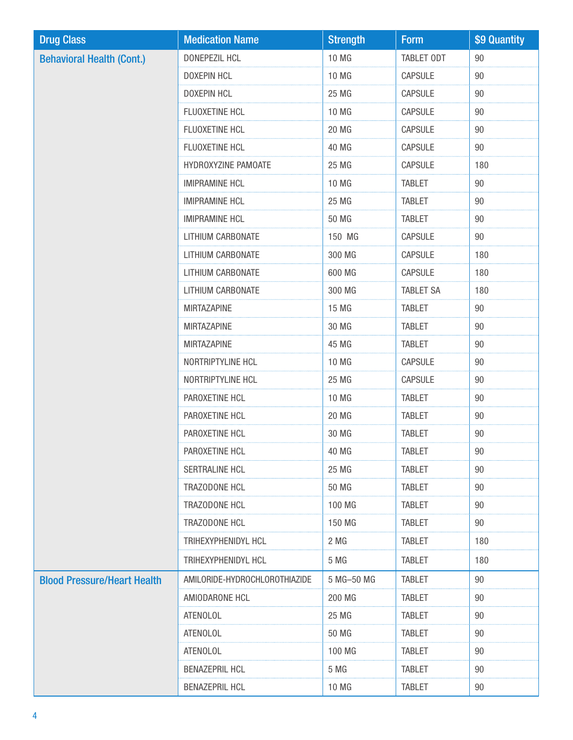| <b>Drug Class</b>                  | <b>Medication Name</b>        | <b>Strength</b> | <b>Form</b>      | \$9 Quantity |
|------------------------------------|-------------------------------|-----------------|------------------|--------------|
| <b>Behavioral Health (Cont.)</b>   | DONEPEZIL HCL                 | 10 MG           | TABLET ODT       | 90           |
|                                    | <b>DOXEPIN HCL</b>            | 10 MG           | CAPSULE          | $90\,$       |
|                                    | <b>DOXEPIN HCL</b>            | 25 MG           | CAPSULE          | 90           |
|                                    | FLUOXETINE HCL                | 10 MG           | CAPSULE          | $90\,$       |
|                                    | FLUOXETINE HCL                | 20 MG           | CAPSULE          | 90           |
|                                    | FLUOXETINE HCL                | 40 MG           | CAPSULE          | $90\,$       |
|                                    | HYDROXYZINE PAMOATE           | 25 MG           | CAPSULE          | 180          |
|                                    | <b>IMIPRAMINE HCL</b>         | 10 MG           | <b>TABLET</b>    | 90           |
|                                    | <b>IMIPRAMINE HCL</b>         | 25 MG           | <b>TABLET</b>    | $90\,$       |
|                                    | <b>IMIPRAMINE HCL</b>         | 50 MG           | <b>TABLET</b>    | 90           |
|                                    | LITHIUM CARBONATE             | 150 MG          | CAPSULE          | $90\,$       |
|                                    | LITHIUM CARBONATE             | 300 MG          | CAPSULE          | 180          |
|                                    | LITHIUM CARBONATE             | 600 MG          | CAPSULE          | 180          |
|                                    | LITHIUM CARBONATE             | 300 MG          | <b>TABLET SA</b> | 180          |
|                                    | <b>MIRTAZAPINE</b>            | 15 MG           | <b>TABLET</b>    | 90           |
|                                    | <b>MIRTAZAPINE</b>            | 30 MG           | <b>TABLET</b>    | $90\,$       |
|                                    | <b>MIRTAZAPINE</b>            | 45 MG           | <b>TABLET</b>    | 90           |
|                                    | NORTRIPTYLINE HCL             | 10 MG           | CAPSULE          | 90           |
|                                    | NORTRIPTYLINE HCL             | 25 MG           | CAPSULE          | $90\,$       |
|                                    | PAROXETINE HCL                | 10 MG           | <b>TABLET</b>    | 90           |
|                                    | PAROXETINE HCL                | 20 MG           | <b>TABLET</b>    | 90           |
|                                    | PAROXETINE HCL                | 30 MG           | <b>TABLET</b>    | $90\,$       |
|                                    | PAROXETINE HCL                | 40 MG           | TABLET           | 90           |
|                                    | SERTRALINE HCL                | 25 MG           | <b>TABLET</b>    | 90           |
|                                    | TRAZODONE HCL                 | 50 MG           | <b>TABLET</b>    | 90           |
|                                    | TRAZODONE HCL                 | 100 MG          | <b>TABLET</b>    | 90           |
|                                    | TRAZODONE HCL                 | 150 MG          | <b>TABLET</b>    | 90           |
|                                    | TRIHEXYPHENIDYL HCL           | 2 MG            | <b>TABLET</b>    | 180          |
|                                    | TRIHEXYPHENIDYL HCL           | 5 MG            | <b>TABLET</b>    | 180          |
| <b>Blood Pressure/Heart Health</b> | AMILORIDE-HYDROCHLOROTHIAZIDE | 5 MG-50 MG      | <b>TABLET</b>    | 90           |
|                                    | AMIODARONE HCL                | 200 MG          | <b>TABLET</b>    | 90           |
|                                    | <b>ATENOLOL</b>               | 25 MG           | <b>TABLET</b>    | 90           |
|                                    | <b>ATENOLOL</b>               | 50 MG           | <b>TABLET</b>    | 90           |
|                                    | <b>ATENOLOL</b>               | 100 MG          | <b>TABLET</b>    | 90           |
|                                    | <b>BENAZEPRIL HCL</b>         | 5 MG            | <b>TABLET</b>    | 90           |
|                                    | <b>BENAZEPRIL HCL</b>         | 10 MG           | TABLET           | 90           |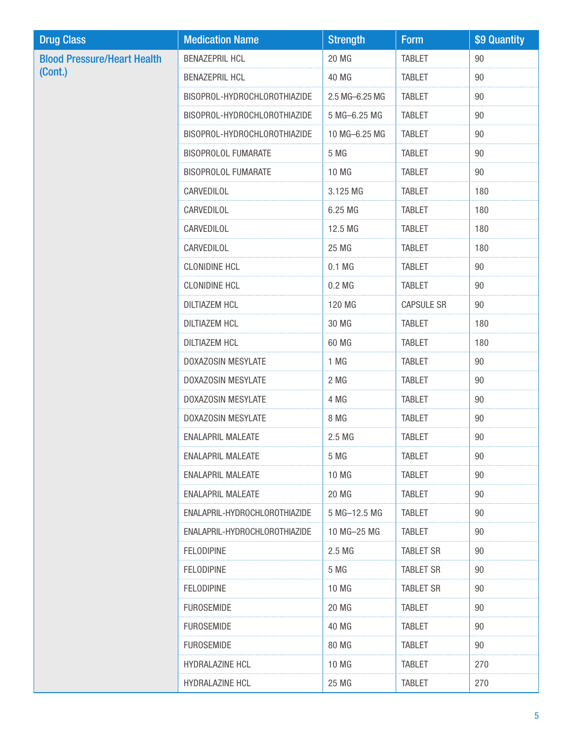| <b>Drug Class</b>                  | <b>Medication Name</b>        | <b>Strength</b> | <b>Form</b>       | \$9 Quantity |
|------------------------------------|-------------------------------|-----------------|-------------------|--------------|
| <b>Blood Pressure/Heart Health</b> | <b>BENAZEPRIL HCL</b>         | 20 MG           | <b>TABLET</b>     | 90           |
| (Cont.)                            | <b>BENAZEPRIL HCL</b>         | 40 MG           | <b>TABLET</b>     | 90           |
|                                    | BISOPROL-HYDROCHLOROTHIAZIDE  | 2.5 MG-6.25 MG  | <b>TABLET</b>     | 90           |
|                                    | BISOPROL-HYDROCHLOROTHIAZIDE  | 5 MG-6.25 MG    | <b>TABLET</b>     | 90           |
|                                    | BISOPROL-HYDROCHLOROTHIAZIDE  | 10 MG-6.25 MG   | <b>TABLET</b>     | 90           |
|                                    | <b>BISOPROLOL FUMARATE</b>    | 5 MG            | <b>TABLET</b>     | 90           |
|                                    | <b>BISOPROLOL FUMARATE</b>    | 10 MG           | <b>TABLET</b>     | 90           |
|                                    | CARVEDILOL                    | 3.125 MG        | <b>TABLET</b>     | 180          |
|                                    | CARVEDILOL                    | 6.25 MG         | <b>TABLET</b>     | 180          |
|                                    | CARVEDILOL                    | 12.5 MG         | <b>TABLET</b>     | 180          |
|                                    | CARVEDILOL                    | 25 MG           | <b>TABLET</b>     | 180          |
|                                    | <b>CLONIDINE HCL</b>          | $0.1$ MG        | <b>TABLET</b>     | 90           |
|                                    | <b>CLONIDINE HCL</b>          | $0.2$ MG        | <b>TABLET</b>     | 90           |
|                                    | <b>DILTIAZEM HCL</b>          | 120 MG          | <b>CAPSULE SR</b> | 90           |
|                                    | <b>DILTIAZEM HCL</b>          | 30 MG           | <b>TABLET</b>     | 180          |
|                                    | <b>DILTIAZEM HCL</b>          | 60 MG           | <b>TABLET</b>     | 180          |
|                                    | DOXAZOSIN MESYLATE            | 1 MG            | <b>TABLET</b>     | 90           |
|                                    | DOXAZOSIN MESYLATE            | 2 MG            | <b>TABLET</b>     | $90\,$       |
|                                    | DOXAZOSIN MESYLATE            | 4 MG            | <b>TABLET</b>     | 90           |
|                                    | DOXAZOSIN MESYLATE            | 8 MG            | <b>TABLET</b>     | 90           |
|                                    | <b>ENALAPRIL MALEATE</b>      | 2.5 MG          | <b>TABLET</b>     | $90\,$       |
|                                    | <b>ENALAPRIL MALEATE</b>      | 5 MG            | <b>TABLET</b>     | 90           |
|                                    | <b>ENALAPRIL MALEATE</b>      | 10 MG           | <b>TABLET</b>     | 90           |
|                                    | <b>ENALAPRIL MALEATE</b>      | 20 MG           | <b>TABLET</b>     | 90           |
|                                    | ENALAPRIL-HYDROCHLOROTHIAZIDE | 5 MG-12.5 MG    | <b>TABLET</b>     | 90           |
|                                    | ENALAPRIL-HYDROCHLOROTHIAZIDE | 10 MG-25 MG     | <b>TABLET</b>     | 90           |
|                                    | <b>FELODIPINE</b>             | 2.5 MG          | <b>TABLET SR</b>  | 90           |
|                                    | <b>FELODIPINE</b>             | 5 MG            | <b>TABLET SR</b>  | 90           |
|                                    | <b>FELODIPINE</b>             | 10 MG           | <b>TABLET SR</b>  | 90           |
|                                    | <b>FUROSEMIDE</b>             | 20 MG           | <b>TABLET</b>     | 90           |
|                                    | <b>FUROSEMIDE</b>             | 40 MG           | <b>TABLET</b>     | 90           |
|                                    | <b>FUROSEMIDE</b>             | 80 MG           | <b>TABLET</b>     | 90           |
|                                    | HYDRALAZINE HCL               | 10 MG           | <b>TABLET</b>     | 270          |
|                                    | HYDRALAZINE HCL               | 25 MG           | <b>TABLET</b>     | 270          |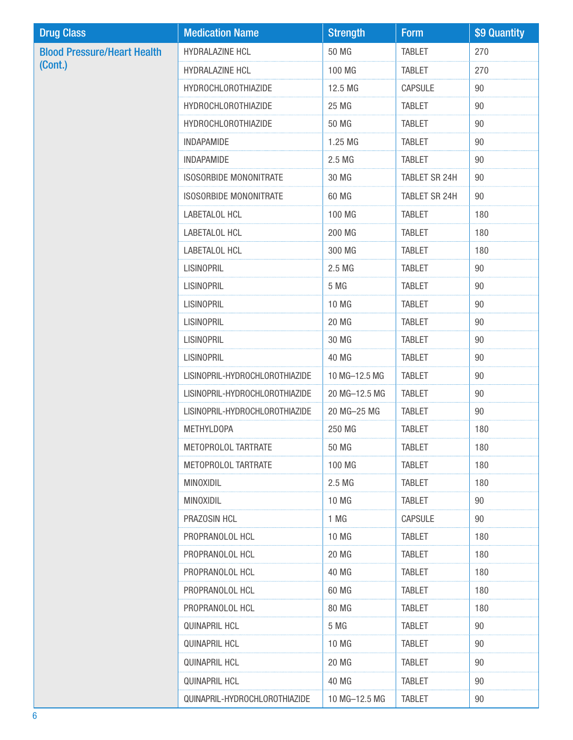| <b>Drug Class</b>                  | <b>Medication Name</b>         | <b>Strength</b> | <b>Form</b>    | \$9 Quantity |
|------------------------------------|--------------------------------|-----------------|----------------|--------------|
| <b>Blood Pressure/Heart Health</b> | HYDRALAZINE HCL                | 50 MG           | <b>TABLET</b>  | 270          |
| (Cont.)                            | HYDRALAZINE HCL                | 100 MG          | <b>TABLET</b>  | 270          |
|                                    | <b>HYDROCHLOROTHIAZIDE</b>     | 12.5 MG         | <b>CAPSULE</b> | 90           |
|                                    | <b>HYDROCHLOROTHIAZIDE</b>     | 25 MG           | <b>TABLET</b>  | 90           |
|                                    | <b>HYDROCHLOROTHIAZIDE</b>     | 50 MG           | <b>TABLET</b>  | 90           |
|                                    | <b>INDAPAMIDE</b>              | 1.25 MG         | <b>TABLET</b>  | 90           |
|                                    | <b>INDAPAMIDE</b>              | 2.5 MG          | <b>TABLET</b>  | 90           |
|                                    | <b>ISOSORBIDE MONONITRATE</b>  | 30 MG           | TABLET SR 24H  | 90           |
|                                    | <b>ISOSORBIDE MONONITRATE</b>  | 60 MG           | TABLET SR 24H  | 90           |
|                                    | LABETALOL HCL                  | 100 MG          | <b>TABLET</b>  | 180          |
|                                    | LABETALOL HCL                  | 200 MG          | <b>TABLET</b>  | 180          |
|                                    | LABETALOL HCL                  | 300 MG          | <b>TABLET</b>  | 180          |
|                                    | <b>LISINOPRIL</b>              | 2.5 MG          | <b>TABLET</b>  | 90           |
|                                    | <b>LISINOPRIL</b>              | 5 MG            | <b>TABLET</b>  | 90           |
|                                    | <b>LISINOPRIL</b>              | 10 MG           | <b>TABLET</b>  | 90           |
|                                    | <b>LISINOPRIL</b>              | 20 MG           | <b>TABLET</b>  | 90           |
|                                    | <b>LISINOPRIL</b>              | 30 MG           | <b>TABLET</b>  | 90           |
|                                    | <b>LISINOPRIL</b>              | 40 MG           | <b>TABLET</b>  | 90           |
|                                    | LISINOPRIL-HYDROCHLOROTHIAZIDE | 10 MG-12.5 MG   | <b>TABLET</b>  | 90           |
|                                    | LISINOPRIL-HYDROCHLOROTHIAZIDE | 20 MG-12.5 MG   | <b>TABLET</b>  | 90           |
|                                    | LISINOPRIL-HYDROCHLOROTHIAZIDE | 20 MG-25 MG     | <b>TABLET</b>  | 90           |
|                                    | <b>METHYLDOPA</b>              | 250 MG          | <b>TABLET</b>  | 180          |
|                                    | METOPROLOL TARTRATE            | 50 MG           | <b>TABLET</b>  | 180          |
|                                    | METOPROLOL TARTRATE            | 100 MG          | <b>TABLET</b>  | 180          |
|                                    | <b>MINOXIDIL</b>               | 2.5 MG          | <b>TABLET</b>  | 180          |
|                                    | MINOXIDIL                      | 10 MG           | <b>TABLET</b>  | 90           |
|                                    | PRAZOSIN HCL                   | 1 MG            | <b>CAPSULE</b> | 90           |
|                                    | PROPRANOLOL HCL                | 10 MG           | <b>TABLET</b>  | 180          |
|                                    | PROPRANOLOL HCL                | 20 MG           | TABLET         | 180          |
|                                    | PROPRANOLOL HCL                | 40 MG           | <b>TABLET</b>  | 180          |
|                                    | PROPRANOLOL HCL                | 60 MG           | <b>TABLET</b>  | 180          |
|                                    | PROPRANOLOL HCL                | 80 MG           | <b>TABLET</b>  | 180          |
|                                    | <b>QUINAPRIL HCL</b>           | 5 MG            | <b>TABLET</b>  | 90           |
|                                    | <b>QUINAPRIL HCL</b>           | 10 MG           | <b>TABLET</b>  | 90           |
|                                    | <b>QUINAPRIL HCL</b>           | 20 MG           | <b>TABLET</b>  | 90           |
|                                    | QUINAPRIL HCL                  | 40 MG           | <b>TABLET</b>  | 90           |
|                                    | QUINAPRIL-HYDROCHLOROTHIAZIDE  | 10 MG-12.5 MG   | <b>TABLET</b>  | 90           |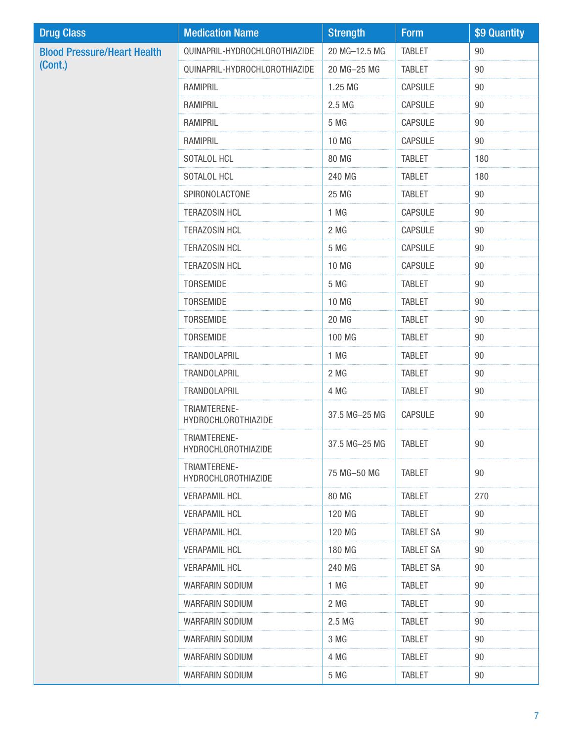| <b>Drug Class</b>                  | <b>Medication Name</b>                     | <b>Strength</b> | <b>Form</b>      | \$9 Quantity |
|------------------------------------|--------------------------------------------|-----------------|------------------|--------------|
| <b>Blood Pressure/Heart Health</b> | QUINAPRIL-HYDROCHLOROTHIAZIDE              | 20 MG-12.5 MG   | <b>TABLET</b>    | 90           |
| (Cont.)                            | QUINAPRIL-HYDROCHLOROTHIAZIDE              | 20 MG-25 MG     | <b>TABLET</b>    | 90           |
|                                    | <b>RAMIPRIL</b>                            | 1.25 MG         | CAPSULE          | 90           |
|                                    | <b>RAMIPRIL</b>                            | 2.5 MG          | CAPSULE          | 90           |
|                                    | <b>RAMIPRIL</b>                            | 5 MG            | CAPSULE          | 90           |
|                                    | <b>RAMIPRIL</b>                            | 10 MG           | CAPSULE          | 90           |
|                                    | SOTALOL HCL                                | 80 MG           | <b>TABLET</b>    | 180          |
|                                    | SOTALOL HCL                                | 240 MG          | <b>TABLET</b>    | 180          |
|                                    | SPIRONOLACTONE                             | 25 MG           | <b>TABLET</b>    | 90           |
|                                    | <b>TERAZOSIN HCL</b>                       | 1 MG            | CAPSULE          | 90           |
|                                    | <b>TERAZOSIN HCL</b>                       | 2 MG            | CAPSULE          | 90           |
|                                    | <b>TERAZOSIN HCL</b>                       | 5 MG            | <b>CAPSULE</b>   | 90           |
|                                    | <b>TERAZOSIN HCL</b>                       | 10 MG           | CAPSULE          | 90           |
|                                    | <b>TORSEMIDE</b>                           | 5 MG            | <b>TABLET</b>    | 90           |
|                                    | TORSEMIDE                                  | 10 MG           | <b>TABLET</b>    | 90           |
|                                    | TORSEMIDE                                  | 20 MG           | <b>TABLET</b>    | 90           |
|                                    | TORSEMIDE                                  | 100 MG          | <b>TABLET</b>    | 90           |
|                                    | TRANDOLAPRIL                               | 1 MG            | <b>TABLET</b>    | 90           |
|                                    | TRANDOLAPRIL                               | 2 MG            | <b>TABLET</b>    | 90           |
|                                    | TRANDOLAPRIL                               | 4 MG            | <b>TABLET</b>    | 90           |
|                                    | TRIAMTERENE-<br><b>HYDROCHLOROTHIAZIDE</b> | 37.5 MG-25 MG   | CAPSULE          | 90           |
|                                    | TRIAMTERENE-<br><b>HYDROCHLOROTHIAZIDE</b> | 37.5 MG-25 MG   | <b>TABLET</b>    | 90           |
|                                    | TRIAMTERENE-<br>HYDROCHLOROTHIAZIDE        | 75 MG-50 MG     | <b>TABLET</b>    | 90           |
|                                    | <b>VERAPAMIL HCL</b>                       | 80 MG           | <b>TABLET</b>    | 270          |
|                                    | <b>VERAPAMIL HCL</b>                       | 120 MG          | <b>TABLET</b>    | 90           |
|                                    | <b>VERAPAMIL HCL</b>                       | 120 MG          | <b>TABLET SA</b> | 90           |
|                                    | <b>VERAPAMIL HCL</b>                       | 180 MG          | <b>TABLET SA</b> | 90           |
|                                    | <b>VERAPAMIL HCL</b>                       | 240 MG          | <b>TABLET SA</b> | 90           |
|                                    | <b>WARFARIN SODIUM</b>                     | 1 MG            | <b>TABLET</b>    | 90           |
|                                    | WARFARIN SODIUM                            | 2 MG            | <b>TABLET</b>    | 90           |
|                                    | WARFARIN SODIUM                            | 2.5 MG          | <b>TABLET</b>    | 90           |
|                                    | WARFARIN SODIUM                            | 3 MG            | <b>TABLET</b>    | 90           |
|                                    | WARFARIN SODIUM                            | 4 MG            | <b>TABLET</b>    | 90           |
|                                    | WARFARIN SODIUM                            | 5 MG            | <b>TABLET</b>    | 90           |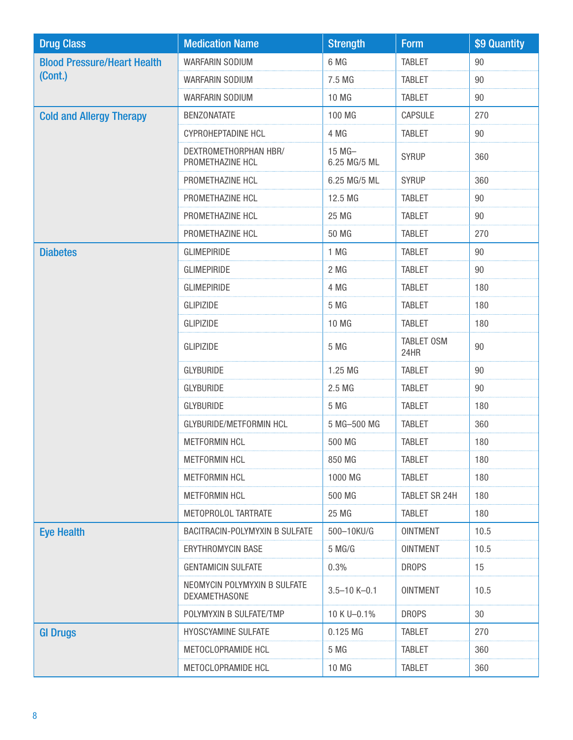| <b>Drug Class</b>                  | <b>Medication Name</b>                        | <b>Strength</b>        | <b>Form</b>               | \$9 Quantity |
|------------------------------------|-----------------------------------------------|------------------------|---------------------------|--------------|
| <b>Blood Pressure/Heart Health</b> | WARFARIN SODIUM                               | 6 MG                   | <b>TABLET</b>             | 90           |
| (Cont.)                            | WARFARIN SODIUM                               | 7.5 MG                 | <b>TABLET</b>             | 90           |
|                                    | WARFARIN SODIUM                               | 10 MG                  | <b>TABLET</b>             | 90           |
| <b>Cold and Allergy Therapy</b>    | <b>BENZONATATE</b>                            | 100 MG                 | CAPSULE                   | 270          |
|                                    | <b>CYPROHEPTADINE HCL</b>                     | 4 MG                   | <b>TABLET</b>             | 90           |
|                                    | DEXTROMETHORPHAN HBR/<br>PROMETHAZINE HCL     | 15 MG-<br>6.25 MG/5 ML | <b>SYRUP</b>              | 360          |
|                                    | PROMETHAZINE HCL                              | 6.25 MG/5 ML           | <b>SYRUP</b>              | 360          |
|                                    | PROMETHAZINE HCL                              | 12.5 MG                | <b>TABLET</b>             | 90           |
|                                    | PROMETHAZINE HCL                              | 25 MG                  | <b>TABLET</b>             | 90           |
|                                    | PROMETHAZINE HCL                              | <b>50 MG</b>           | <b>TABLET</b>             | 270          |
| <b>Diabetes</b>                    | <b>GLIMEPIRIDE</b>                            | 1 MG                   | <b>TABLET</b>             | 90           |
|                                    | <b>GLIMEPIRIDE</b>                            | 2 MG                   | <b>TABLET</b>             | 90           |
|                                    | <b>GLIMEPIRIDE</b>                            | 4 MG                   | <b>TABLET</b>             | 180          |
|                                    | <b>GLIPIZIDE</b>                              | 5 MG                   | <b>TABLET</b>             | 180          |
|                                    | <b>GLIPIZIDE</b>                              | <b>10 MG</b>           | <b>TABLET</b>             | 180          |
|                                    | <b>GLIPIZIDE</b>                              | 5 MG                   | <b>TABLET OSM</b><br>24HR | 90           |
|                                    | <b>GLYBURIDE</b>                              | 1.25 MG                | <b>TABLET</b>             | 90           |
|                                    | <b>GLYBURIDE</b>                              | 2.5 MG                 | <b>TABLET</b>             | 90           |
|                                    | <b>GLYBURIDE</b>                              | 5 MG                   | <b>TABLET</b>             | 180          |
|                                    | GLYBURIDE/METFORMIN HCL                       | 5 MG-500 MG            | <b>TABLET</b>             | 360          |
|                                    | <b>METFORMIN HCL</b>                          | 500 MG                 | <b>TABLET</b>             | 180          |
|                                    | <b>METFORMIN HCL</b>                          | 850 MG                 | <b>TABLET</b>             | 180          |
|                                    | METFORMIN HCL                                 | 1000 MG                | <b>TABLET</b>             | 180          |
|                                    | <b>METFORMIN HCL</b>                          | 500 MG                 | TABLET SR 24H             | 180          |
|                                    | METOPROLOL TARTRATE                           | 25 MG                  | <b>TABLET</b>             | 180          |
| <b>Eye Health</b>                  | BACITRACIN-POLYMYXIN B SULFATE                | 500-10KU/G             | <b>OINTMENT</b>           | 10.5         |
|                                    | ERYTHROMYCIN BASE                             | 5 MG/G                 | <b>OINTMENT</b>           | 10.5         |
|                                    | <b>GENTAMICIN SULFATE</b>                     | 0.3%                   | <b>DROPS</b>              | 15           |
|                                    | NEOMYCIN POLYMYXIN B SULFATE<br>DEXAMETHASONE | $3.5 - 10 K - 0.1$     | <b>OINTMENT</b>           | 10.5         |
|                                    | POLYMYXIN B SULFATE/TMP                       | 10 K U-0.1%            | <b>DROPS</b>              | 30           |
| <b>GI Drugs</b>                    | HYOSCYAMINE SULFATE                           | $0.125$ MG             | <b>TABLET</b>             | 270          |
|                                    | METOCLOPRAMIDE HCL                            | 5 MG                   | <b>TABLET</b>             | 360          |
|                                    | METOCLOPRAMIDE HCL                            | 10 MG                  | <b>TABLET</b>             | 360          |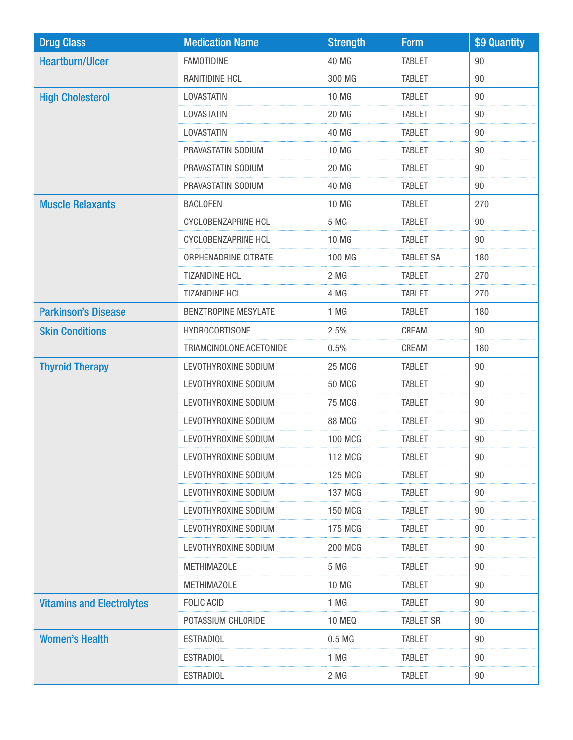| <b>Drug Class</b>                | <b>Medication Name</b>      | <b>Strength</b>  | <b>Form</b>      | \$9 Quantity |
|----------------------------------|-----------------------------|------------------|------------------|--------------|
| <b>Heartburn/Ulcer</b>           | <b>FAMOTIDINE</b>           | 40 MG            | <b>TABLET</b>    | 90           |
|                                  | <b>RANITIDINE HCL</b>       | 300 MG           | <b>TABLET</b>    | 90           |
| <b>High Cholesterol</b>          | LOVASTATIN                  | 10 MG            | <b>TABLET</b>    | 90           |
|                                  | LOVASTATIN                  | <b>20 MG</b>     | <b>TABLET</b>    | 90           |
|                                  | LOVASTATIN                  | 40 MG            | <b>TABLET</b>    | 90           |
|                                  | PRAVASTATIN SODIUM          | 10 MG            | <b>TABLET</b>    | 90           |
|                                  | PRAVASTATIN SODIUM          | <b>20 MG</b>     | <b>TABLET</b>    | 90           |
|                                  | PRAVASTATIN SODIUM          | 40 MG            | <b>TABLET</b>    | 90           |
| <b>Muscle Relaxants</b>          | <b>BACLOFEN</b>             | <b>10 MG</b>     | <b>TABLET</b>    | 270          |
|                                  | <b>CYCLOBENZAPRINE HCL</b>  | 5 MG             | <b>TABLET</b>    | 90           |
|                                  | CYCLOBENZAPRINE HCL         | 10 MG            | <b>TABLET</b>    | 90           |
|                                  | ORPHENADRINE CITRATE        | 100 MG           | <b>TABLET SA</b> | 180          |
|                                  | <b>TIZANIDINE HCL</b>       | 2 MG             | <b>TABLET</b>    | 270          |
|                                  | <b>TIZANIDINE HCL</b>       | 4 MG             | <b>TABLET</b>    | 270          |
| <b>Parkinson's Disease</b>       | <b>BENZTROPINE MESYLATE</b> | 1 MG             | <b>TABLET</b>    | 180          |
| <b>Skin Conditions</b>           | <b>HYDROCORTISONE</b>       | 2.5%             | CREAM            | 90           |
|                                  | TRIAMCINOLONE ACETONIDE     | 0.5%             | CREAM            | 180          |
| <b>Thyroid Therapy</b>           | LEVOTHYROXINE SODIUM        | 25 MCG           | <b>TABLET</b>    | 90           |
|                                  | LEVOTHYROXINE SODIUM        | <b>50 MCG</b>    | <b>TABLET</b>    | 90           |
|                                  | LEVOTHYROXINE SODIUM        | <b>75 MCG</b>    | <b>TABLET</b>    | 90           |
|                                  | LEVOTHYROXINE SODIUM        | 88 MCG           | <b>TABLET</b>    | 90           |
|                                  | LEVOTHYROXINE SODIUM        | <b>100 MCG</b>   | <b>TABLET</b>    | 90           |
|                                  | LEVOTHYROXINE SODIUM        | 112 MCG          | <b>TABLET</b>    | 90           |
|                                  | LEVOTHYROXINE SODIUM        | <b>125 MCG</b>   | <b>TABLET</b>    | 90           |
|                                  | LEVOTHYROXINE SODIUM        | 137 MCG          | <b>TABLET</b>    | 90           |
|                                  | LEVOTHYROXINE SODIUM        | <b>150 MCG</b>   | <b>TABLET</b>    | 90           |
|                                  | LEVOTHYROXINE SODIUM        | 175 MCG          | <b>TABLET</b>    | 90           |
|                                  | LEVOTHYROXINE SODIUM        | <b>200 MCG</b>   | <b>TABLET</b>    | 90           |
|                                  | <b>METHIMAZOLE</b>          | 5 MG             | <b>TABLET</b>    | 90           |
|                                  | <b>METHIMAZOLE</b>          | 10 MG            | <b>TABLET</b>    | 90           |
| <b>Vitamins and Electrolytes</b> | <b>FOLIC ACID</b>           | 1 MG             | <b>TABLET</b>    | 90           |
|                                  | POTASSIUM CHLORIDE          | <b>10 MEQ</b>    | TABLET SR        | 90           |
| <b>Women's Health</b>            | <b>ESTRADIOL</b>            | 0.5 <sub>M</sub> | <b>TABLET</b>    | 90           |
|                                  | <b>ESTRADIOL</b>            | 1 MG             | <b>TABLET</b>    | 90           |
|                                  | <b>ESTRADIOL</b>            | 2 MG             | <b>TABLET</b>    | 90           |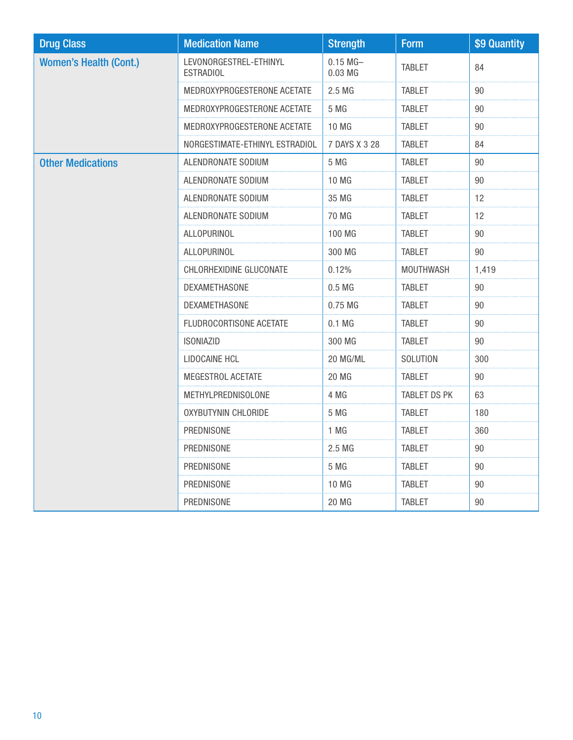| <b>Drug Class</b>             | <b>Medication Name</b>                     | <b>Strength</b>       | <b>Form</b>   | \$9 Quantity |
|-------------------------------|--------------------------------------------|-----------------------|---------------|--------------|
| <b>Women's Health (Cont.)</b> | LEVONORGESTREL-ETHINYL<br><b>ESTRADIOL</b> | $0.15$ MG-<br>0.03 MG | <b>TABLET</b> | 84           |
|                               | MEDROXYPROGESTERONE ACETATE                | 2.5 MG                | <b>TABLET</b> | 90           |
|                               | MEDROXYPROGESTERONE ACETATE                | 5 MG                  | <b>TABLET</b> | 90           |
|                               | MEDROXYPROGESTERONE ACETATE                | 10 MG                 | <b>TABLET</b> | 90           |
|                               | NORGESTIMATE-ETHINYL ESTRADIOL             | 7 DAYS X 3 28         | <b>TABLET</b> | 84           |
| <b>Other Medications</b>      | ALENDRONATE SODIUM                         | 5 MG                  | <b>TABLET</b> | 90           |
|                               | ALENDRONATE SODIUM                         | 10 MG                 | <b>TABLET</b> | 90           |
|                               | ALENDRONATE SODIUM                         | 35 MG                 | <b>TABLET</b> | 12           |
|                               | ALENDRONATE SODIUM                         | 70 MG                 | <b>TABLET</b> | 12           |
|                               | ALLOPURINOL                                | 100 MG                | <b>TABLET</b> | 90           |
|                               | ALLOPURINOL                                | 300 MG                | <b>TABLET</b> | 90           |
|                               | CHLORHEXIDINE GLUCONATE                    | 0.12%                 | MOUTHWASH     | 1,419        |
|                               | DEXAMETHASONE                              | 0.5 <sub>M</sub>      | <b>TABLET</b> | 90           |
|                               | DEXAMETHASONE                              | 0.75 MG               | <b>TABLET</b> | 90           |
|                               | FLUDROCORTISONE ACETATE                    | $0.1$ MG              | <b>TABLET</b> | 90           |
|                               | <b>ISONIAZID</b>                           | 300 MG                | <b>TABLET</b> | 90           |
|                               | LIDOCAINE HCL                              | 20 MG/ML              | SOLUTION      | 300          |
|                               | MEGESTROL ACETATE                          | <b>20 MG</b>          | <b>TABLET</b> | 90           |
|                               | METHYLPREDNISOLONE                         | 4 MG                  | TABLET DS PK  | 63           |
|                               | <b>OXYBUTYNIN CHLORIDE</b>                 | 5 MG                  | <b>TABLET</b> | 180          |
|                               | PREDNISONE                                 | 1 MG                  | <b>TABLET</b> | 360          |
|                               | PREDNISONE                                 | 2.5 MG                | <b>TABLET</b> | 90           |
|                               | PREDNISONE                                 | 5 MG                  | <b>TABLET</b> | 90           |
|                               | PREDNISONE                                 | 10 MG                 | <b>TABLET</b> | 90           |
|                               | PREDNISONE                                 | <b>20 MG</b>          | <b>TABLET</b> | 90           |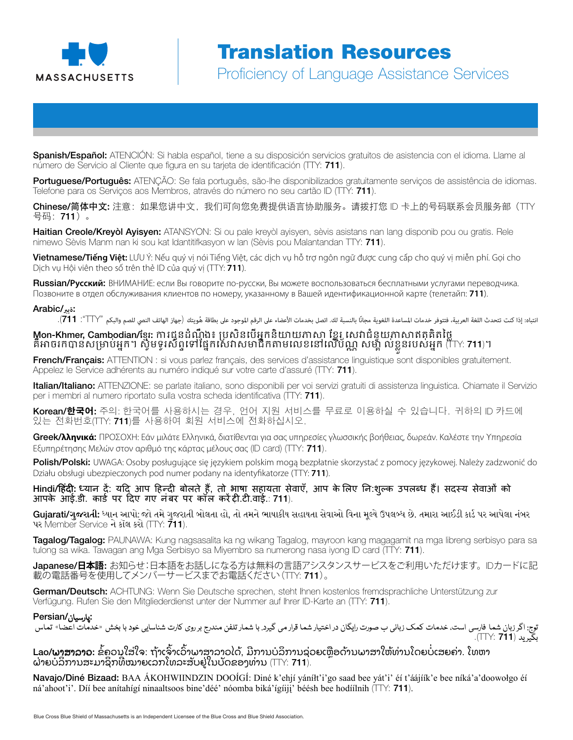

Proficiency of Language Assistance Services Proficiency of Language Assistance Services

Spanish/Español: ATENCIÓN: Si habla español, tiene a su disposición servicios gratuitos de asistencia con el idioma. Llame al número de Servicio al Cliente que figura en su tarjeta de identificación (TTY: 711).

Portuguese/Português: ATENÇÃO: Se fala português, são-lhe disponibilizados gratuitamente serviços de assistência de idiomas. Telefone para os Serviços aos Membros, através do número no seu cartão ID (TTY: 711).

Chinese/简体中文: 注意: 如果您讲中文, 我们可向您免费提供语言协助服务。请拨打您 ID 卡上的号码联系会员服务部 (TTY 号码:711)。

Haitian Creole/Kreyòl Ayisyen: ATANSYON: Si ou pale kreyòl ayisyen, sèvis asistans nan lang disponib pou ou gratis. Rele nimewo Sèvis Manm nan ki sou kat Idantitifkasyon w lan (Sèvis pou Malantandan TTY: 711).

Vietnamese/**Tiếng Việt:** LƯU Ý: Nếu quý vị nói Tiếng Việt, các dịch vụ hỗ trợ ngôn ngữ được cung cấp cho quý vị miễn phí. Gọi cho Dịch vụ Hội viên theo số trên thẻ ID của quý vị (TTY: **711**).

Russian/**Русский**: ВНИМАНИЕ: если Вы говорите по-русски, Вы можете воспользоваться бесплатными услугами переводчика. Позвоните в отдел обслуживания клиентов по номеру, указанному в Вашей идентификационной карте (телетайп: **711**).

#### :**ةيرب**/Arabic

انتباه: إذا كنت تتحدث اللغة العربية، فتتوفر خدمات المساعدة اللغوية مجانًا بالنسبة لك. اتصل بخدمات الأعضاء على الهوجود على بطاقة هُويتك (جهاز الهاتف النصي للصم والبكم "TTY": **111)**.

#### **M្ហon-Khmer, Cambodian/ខ្មែរ:** ការជូនដំណើ្មង៖ ប្រសិនបើអ្នកនិយាយភាសា ខ្នែរូ សេវាជំនួយភាសាឥតគិតថ្លៃ គឺអាចរកបានសម្រាប់អ្នក។ ស្វិមទូរស័ព្ទទៅផ្នែកសេវាសមាជិកតាមលេខនៅលើប័ណ្ណ សម្ព័ ល់ខ្លួនរបស់អ្នក (TTY: **711**)។

French/Français: ATTENTION : si vous parlez français, des services d'assistance linguistique sont disponibles gratuitement. Appelez le Service adhérents au numéro indiqué sur votre carte d'assuré (TTY: 711).

Italian/Italiano: ATTENZIONE: se parlate italiano, sono disponibili per voi servizi gratuiti di assistenza linguistica. Chiamate il Servizio per i membri al numero riportato sulla vostra scheda identificativa (TTY: 711).

Korean/**한국어**: 주의: 한국어를 사용하시는 경우, 언어 지원 서비스를 무료로 이용하실 수 있습니다. 귀하의 ID 카드에 있는 전화번호(TTY: 711)를 사용하여 회원 서비스에 전화하십시오.

Greek/**λληνικά**: ΠΡΟΣΟΧΗ: Εάν μιλάτε Ελληνικά, διατίθενται για σας υπηρεσίες γλωσσικής βοήθειας, δωρεάν. Καλέστε την Υπηρεσία Εξυπηρέτησης Μελών στον αριθμό της κάρτας μέλους σας (ID card) (TTY: 711).

Polish/Polski: UWAGA: Osoby posługujące się językiem polskim mogą bezpłatnie skorzystać z pomocy językowej. Należy zadzwonić do Działu obsługi ubezpieczonych pod numer podany na identyfikatorze (TTY: **711**).

Hindi/हिंदी: ध्यान दें: यदि आप हिन्दी बोलते हैं, तो भाषा सहायता सेवाएँ, आप के लिए नि:शुल्क उपलब्ध हैं। सदस्य सेवाओं को आपके आई.डी. कार्ड पर दिए गए नंबर पर कॉल करें दी.टी.वाई.: 711).

Gujarati/ગુજરાતી: ધ્યાન આપો: જો તમે ગુજરાતી બોલતા હો, તો તમને ભાષાકીય સહાયતા સેવાઓ વિના મૂલ્યે ઉપલબ્ધ છે. તમારા આઈડી કાર્ડ પર આપેલા નંબર પર Member Service ને કૉલ કરો (TTY: 711).

**Tagalog/Tagalog:** PAUNAWA: Kung nagsasalita ka ng wikang Tagalog, mayroon kang magagamit na mga libreng serbisyo para sa tulong sa wika. Tawagan ang Mga Serbisyo sa Miyembro sa numerong nasa iyong ID card (TTY: 711).

Japanese/**日本語**: お知らせ:日本語をお話しになる方は無料の言語アシスタンスサービスをご利用いただけます。IDカードに記 載の電話番号を使用してメンバーサービスまでお電話ください(TTY: 711)。

German/Deutsch: ACHTUNG: Wenn Sie Deutsche sprechen, steht Ihnen kostenlos fremdsprachliche Unterstützung zur Verfügung. Rufen Sie den Mitgliederdienst unter der Nummer auf Ihrer ID-Karte an (TTY: 711).

#### :پارسیان/Persian

توج: اگر زبان شما فارسی است، خدمات کمک زبانی ب صورت رایگان در اختیار شما قرار می گیرد. با شمار تلفن میز وی کارت شناسایی خود با بخش «خدمات اعضا» تماس بگیرید (7**11** :TTY).

**Lao/ພາສາລາວ:** ຂໍ້ຄວນໃສ່ໃຈ: ຖ້າເຈົາເວົາພາສາລາວໄດ້, ມີການບໍລິການຊ່ວຍເຫຼືອດ້ານພາສາໃຫ້ທ່ານໂດຍບໍ່ເສຍຄ່າ. ໂທຫາ ຝ່າຍບໍລິການສະມາຊິກທີ່ໝາຍເລກໂທລະສັບຢູ່ໃນບັດຂອງທ່ານ (TTY: **711**).

Navajo/Diné Bizaad: BAA ÁKOHWIINDZIN DOOÍGÍ: Diné k'ehjí yáníłt'i'go saad bee yát'i' éí t'áájíík'e bee níká'a'doowołgo éí ná'ahoot'i'. Díí bee anítahígí ninaaltsoos bine'déé' nóomba biká' ígíiji' béésh bee hodíílnih ( $\Box$ Y: **711**).